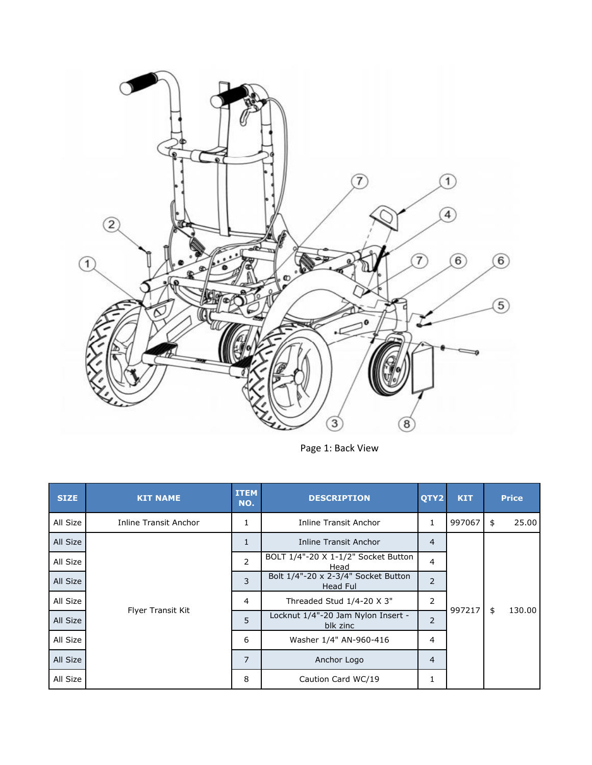

Page 1: Back View

| <b>SIZE</b> | <b>KIT NAME</b>              | <b>ITEM</b><br>NO. | <b>DESCRIPTION</b>                              | QTY2           | <b>KIT</b> | <b>Price</b> |
|-------------|------------------------------|--------------------|-------------------------------------------------|----------------|------------|--------------|
| All Size    | <b>Inline Transit Anchor</b> | 1                  | <b>Inline Transit Anchor</b>                    | 1              | 997067     | 25.00<br>\$  |
| All Size    |                              | $\mathbf{1}$       | Inline Transit Anchor                           | 4              |            |              |
| All Size    |                              | $\overline{2}$     | BOLT 1/4"-20 X 1-1/2" Socket Button<br>Head     | 4              |            |              |
| All Size    |                              | 3                  | Bolt 1/4"-20 x 2-3/4" Socket Button<br>Head Ful | $\overline{2}$ |            |              |
| All Size    |                              | $\overline{4}$     | Threaded Stud 1/4-20 X 3"                       | 2              |            |              |
| All Size    | Flyer Transit Kit            | 5                  | Locknut 1/4"-20 Jam Nylon Insert -<br>blk zinc  | 2              | 997217     | \$<br>130.00 |
| All Size    |                              | 6                  | Washer 1/4" AN-960-416                          | 4              |            |              |
| All Size    |                              | $\overline{7}$     | Anchor Logo                                     | $\overline{4}$ |            |              |
| All Size    |                              | 8                  | Caution Card WC/19                              | 1              |            |              |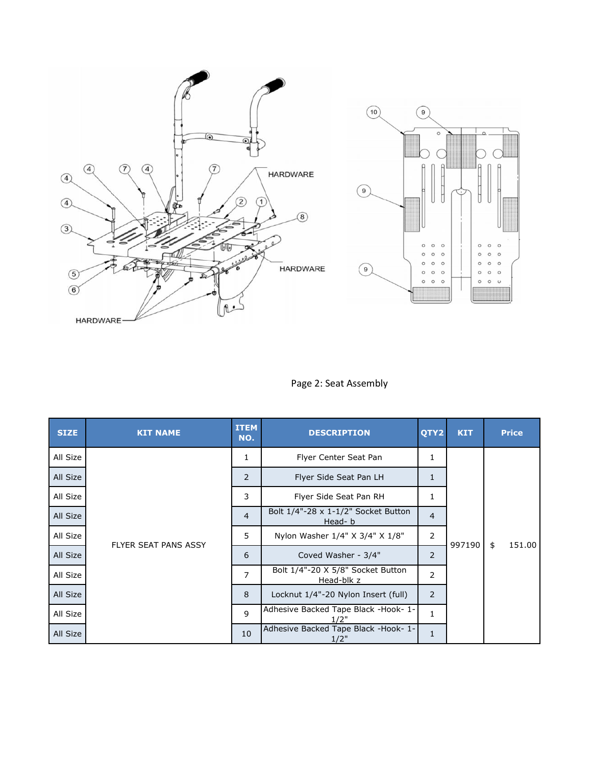

Page 2: Seat Assembly

| <b>SIZE</b> | <b>KIT NAME</b>             | <b>ITEM</b><br>NO. | <b>DESCRIPTION</b>                              | OTY2           | <b>KIT</b> | <b>Price</b> |
|-------------|-----------------------------|--------------------|-------------------------------------------------|----------------|------------|--------------|
| All Size    |                             | 1                  | Flyer Center Seat Pan                           | 1              | 997190     |              |
| All Size    |                             | 2                  | Flyer Side Seat Pan LH                          | 1              |            |              |
| All Size    |                             | 3                  | Flyer Side Seat Pan RH                          | 1              |            |              |
| All Size    |                             | $\overline{4}$     | Bolt 1/4"-28 x 1-1/2" Socket Button<br>Head-b   | $\overline{4}$ |            |              |
| All Size    |                             | 5                  | Nylon Washer 1/4" X 3/4" X 1/8"                 | 2              |            | \$<br>151.00 |
| All Size    | <b>FLYER SEAT PANS ASSY</b> | 6                  | Coved Washer - 3/4"                             | 2              |            |              |
| All Size    |                             | $\overline{7}$     | Bolt 1/4"-20 X 5/8" Socket Button<br>Head-blk z | 2              |            |              |
| All Size    |                             | 8                  | Locknut 1/4"-20 Nylon Insert (full)             | 2              |            |              |
| All Size    |                             | $\mathsf{q}$       | Adhesive Backed Tape Black -Hook- 1-<br>1/2"    | $\mathbf{1}$   |            |              |
| All Size    |                             | 10                 | Adhesive Backed Tape Black -Hook- 1-<br>1/2"    | 1              |            |              |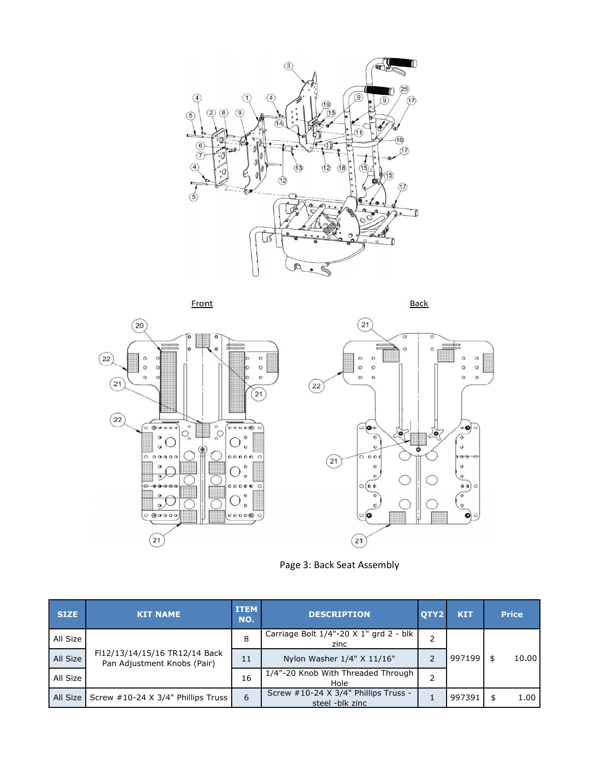



Page 3: Back Seat Assembly

| <b>SIZE</b> | <b>KIT NAME</b>                                              | <b>ITEM</b><br>NO. | <b>DESCRIPTION</b>                                      | OTY2 | <b>KIT</b> | <b>Price</b> |  |
|-------------|--------------------------------------------------------------|--------------------|---------------------------------------------------------|------|------------|--------------|--|
| All Size    |                                                              | 8                  | Carriage Bolt 1/4"-20 X 1" grd 2 - blk<br>zinc          |      |            |              |  |
| All Size    | FI12/13/14/15/16 TR12/14 Back<br>Pan Adjustment Knobs (Pair) | 11                 | Nylon Washer 1/4" X 11/16"                              |      | 997199     | 10.00<br>\$  |  |
| All Size    |                                                              | 16                 | 1/4"-20 Knob With Threaded Through<br>Hole              | ำ    |            |              |  |
|             | All Size   Screw #10-24 X 3/4" Phillips Truss                | 6                  | Screw #10-24 X 3/4" Phillips Truss -<br>steel -blk zinc |      | 997391     | 1.00<br>\$   |  |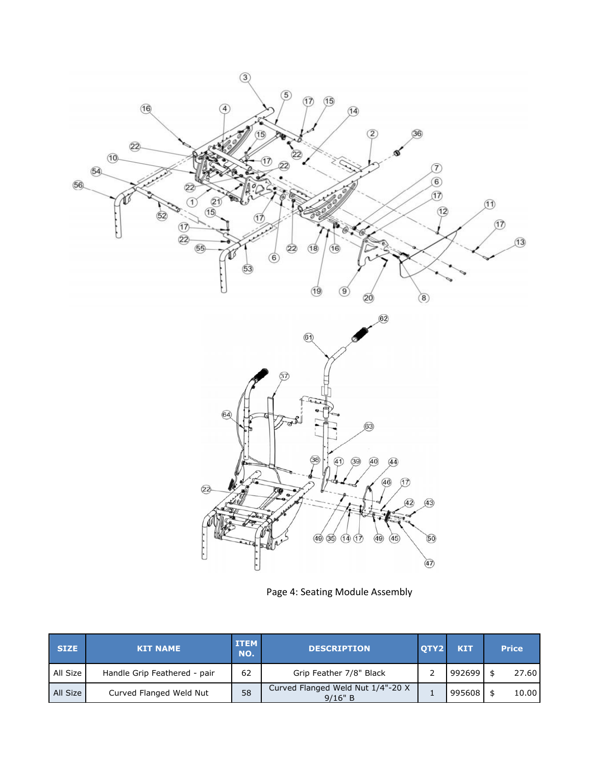

Page 4: Seating Module Assembly

| <b>SIZE</b> | <b>KIT NAME</b>              | <b>ITEM</b><br>NO. | <b>DESCRIPTION</b>                           | OTY2 | <b>KIT</b> | <b>Price</b> |
|-------------|------------------------------|--------------------|----------------------------------------------|------|------------|--------------|
| All Size    | Handle Grip Feathered - pair | 62                 | Grip Feather 7/8" Black                      |      | 992699     | 27.60        |
| All Size    | Curved Flanged Weld Nut      | 58                 | Curved Flanged Weld Nut 1/4"-20 X<br>9/16" B |      | 995608     | 10.00        |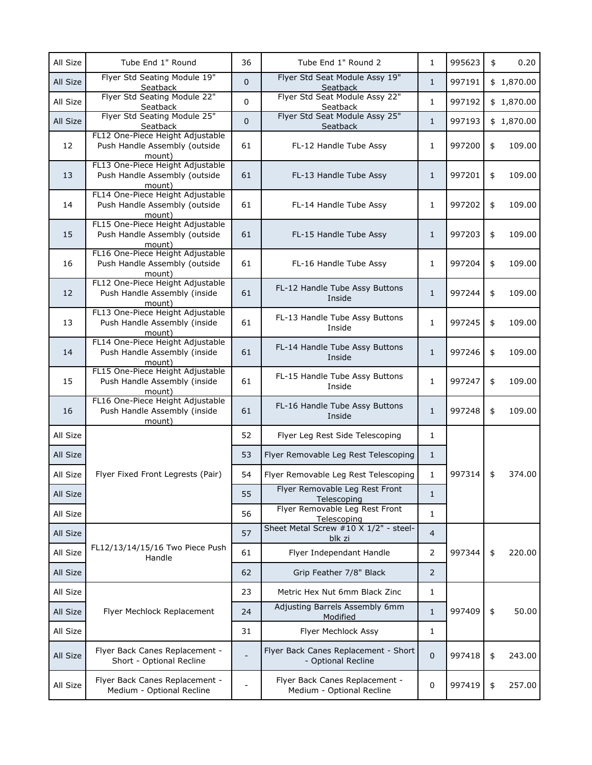| All Size | Tube End 1" Round                                                           | 36             | Tube End 1" Round 2                                         | $\mathbf{1}$   | 995623 | \$<br>0.20   |
|----------|-----------------------------------------------------------------------------|----------------|-------------------------------------------------------------|----------------|--------|--------------|
| All Size | Flyer Std Seating Module 19"<br>Seatback                                    | 0              | Flyer Std Seat Module Assy 19"<br>Seatback                  | $\mathbf{1}$   | 997191 | \$1,870.00   |
| All Size | Flyer Std Seating Module 22"<br>Seatback                                    | 0              | Flyer Std Seat Module Assy 22"<br>Seatback                  | $\mathbf{1}$   | 997192 | \$1,870.00   |
| All Size | Flyer Std Seating Module 25"<br>Seatback                                    | $\overline{0}$ | Flyer Std Seat Module Assy 25"<br>Seatback                  | $\mathbf{1}$   | 997193 | \$1,870.00   |
| 12       | FL12 One-Piece Height Adjustable<br>Push Handle Assembly (outside<br>mount) | 61             | FL-12 Handle Tube Assy                                      | 1              | 997200 | \$<br>109.00 |
| 13       | FL13 One-Piece Height Adjustable<br>Push Handle Assembly (outside<br>mount) | 61             | FL-13 Handle Tube Assy                                      | $\mathbf{1}$   | 997201 | \$<br>109.00 |
| 14       | FL14 One-Piece Height Adjustable<br>Push Handle Assembly (outside<br>mount) | 61             | FL-14 Handle Tube Assy                                      | 1              | 997202 | \$<br>109.00 |
| 15       | FL15 One-Piece Height Adjustable<br>Push Handle Assembly (outside<br>mount) | 61             | FL-15 Handle Tube Assy                                      | $\mathbf{1}$   | 997203 | \$<br>109.00 |
| 16       | FL16 One-Piece Height Adjustable<br>Push Handle Assembly (outside<br>mount) | 61             | FL-16 Handle Tube Assy                                      | 1              | 997204 | \$<br>109.00 |
| 12       | FL12 One-Piece Height Adjustable<br>Push Handle Assembly (inside<br>mount)  | 61             | FL-12 Handle Tube Assy Buttons<br>Inside                    | $\mathbf{1}$   | 997244 | \$<br>109.00 |
| 13       | FL13 One-Piece Height Adjustable<br>Push Handle Assembly (inside<br>mount)  | 61             | FL-13 Handle Tube Assy Buttons<br>Inside                    | $\mathbf{1}$   | 997245 | \$<br>109.00 |
| 14       | FL14 One-Piece Height Adjustable<br>Push Handle Assembly (inside<br>mount)  | 61             | FL-14 Handle Tube Assy Buttons<br>Inside                    | $\mathbf{1}$   | 997246 | \$<br>109.00 |
| 15       | FL15 One-Piece Height Adjustable<br>Push Handle Assembly (inside<br>mount)  | 61             | FL-15 Handle Tube Assy Buttons<br>Inside                    | $\mathbf{1}$   | 997247 | \$<br>109.00 |
| 16       | FL16 One-Piece Height Adjustable<br>Push Handle Assembly (inside<br>mount)  | 61             | FL-16 Handle Tube Assy Buttons<br>Inside                    | $\mathbf{1}$   | 997248 | \$<br>109.00 |
| All Size |                                                                             | 52             | Flyer Leg Rest Side Telescoping                             | 1              |        |              |
| All Size |                                                                             | 53             | Flyer Removable Leg Rest Telescoping                        | $\mathbf{1}$   |        |              |
| All Size | Flyer Fixed Front Legrests (Pair)                                           | 54             | Flyer Removable Leg Rest Telescoping                        | $\mathbf{1}$   | 997314 | \$<br>374.00 |
| All Size |                                                                             | 55             | Flyer Removable Leg Rest Front<br>Telescoping               | $\mathbf{1}$   |        |              |
| All Size |                                                                             | 56             | Flyer Removable Leg Rest Front<br>Telescoping               | $\mathbf{1}$   |        |              |
| All Size |                                                                             | 57             | Sheet Metal Screw #10 X 1/2" - steel-<br>blk zi             | $\overline{4}$ |        |              |
| All Size | FL12/13/14/15/16 Two Piece Push<br>Handle                                   | 61             | Flyer Independant Handle                                    | $\overline{2}$ | 997344 | \$<br>220.00 |
| All Size |                                                                             | 62             | Grip Feather 7/8" Black                                     | 2              |        |              |
| All Size |                                                                             | 23             | Metric Hex Nut 6mm Black Zinc                               | 1              |        |              |
| All Size | Flyer Mechlock Replacement                                                  | 24             | Adjusting Barrels Assembly 6mm<br>Modified                  | $1\,$          | 997409 | \$<br>50.00  |
| All Size |                                                                             | 31             | Flyer Mechlock Assy                                         | 1              |        |              |
| All Size | Flyer Back Canes Replacement -<br>Short - Optional Recline                  |                | Flyer Back Canes Replacement - Short<br>- Optional Recline  | $\pmb{0}$      | 997418 | \$<br>243.00 |
| All Size | Flyer Back Canes Replacement -<br>Medium - Optional Recline                 |                | Flyer Back Canes Replacement -<br>Medium - Optional Recline | $\pmb{0}$      | 997419 | \$<br>257.00 |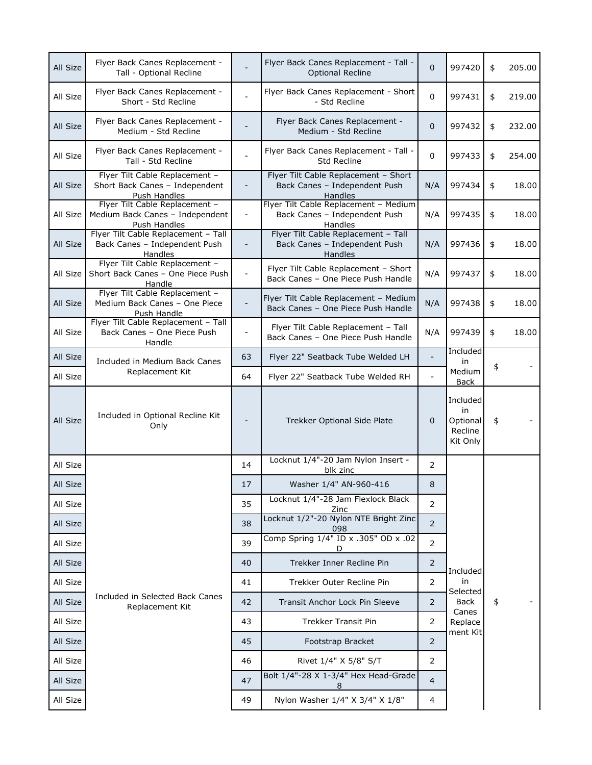| All Size | Flyer Back Canes Replacement -<br>Tall - Optional Recline                         |                          | Flyer Back Canes Replacement - Tall -<br><b>Optional Recline</b>                         | $\mathbf 0$    | 997420                                            | \$<br>205.00 |
|----------|-----------------------------------------------------------------------------------|--------------------------|------------------------------------------------------------------------------------------|----------------|---------------------------------------------------|--------------|
| All Size | Flyer Back Canes Replacement -<br>Short - Std Recline                             |                          | Flyer Back Canes Replacement - Short<br>- Std Recline                                    | $\pmb{0}$      | 997431                                            | \$<br>219.00 |
| All Size | Flyer Back Canes Replacement -<br>Medium - Std Recline                            |                          | Flyer Back Canes Replacement -<br>Medium - Std Recline                                   | $\mathbf{0}$   | 997432                                            | \$<br>232.00 |
| All Size | Flyer Back Canes Replacement -<br>Tall - Std Recline                              |                          | Flyer Back Canes Replacement - Tall -<br>Std Recline                                     | 0              | 997433                                            | \$<br>254.00 |
| All Size | Flyer Tilt Cable Replacement -<br>Short Back Canes - Independent<br>Push Handles  | $\overline{\phantom{a}}$ | Flyer Tilt Cable Replacement - Short<br>Back Canes - Independent Push<br><b>Handles</b>  | N/A            | 997434                                            | \$<br>18.00  |
| All Size | Flyer Tilt Cable Replacement -<br>Medium Back Canes - Independent<br>Push Handles | $\overline{\phantom{a}}$ | Flyer Tilt Cable Replacement - Medium<br>Back Canes - Independent Push<br><b>Handles</b> | N/A            | 997435                                            | \$<br>18.00  |
| All Size | Flyer Tilt Cable Replacement - Tall<br>Back Canes - Independent Push<br>Handles   | $\overline{\phantom{a}}$ | Flyer Tilt Cable Replacement - Tall<br>Back Canes - Independent Push<br>Handles          | N/A            | 997436                                            | \$<br>18.00  |
| All Size | Flyer Tilt Cable Replacement -<br>Short Back Canes - One Piece Push<br>Handle     | $\overline{\phantom{a}}$ | Flyer Tilt Cable Replacement - Short<br>Back Canes - One Piece Push Handle               | N/A            | 997437                                            | \$<br>18.00  |
| All Size | Flyer Tilt Cable Replacement -<br>Medium Back Canes - One Piece<br>Push Handle    | $\overline{\phantom{a}}$ | Flyer Tilt Cable Replacement - Medium<br>Back Canes - One Piece Push Handle              | N/A            | 997438                                            | \$<br>18.00  |
| All Size | Flyer Tilt Cable Replacement - Tall<br>Back Canes - One Piece Push<br>Handle      | $\overline{\phantom{0}}$ | Flyer Tilt Cable Replacement - Tall<br>Back Canes - One Piece Push Handle                | N/A            | 997439                                            | \$<br>18.00  |
| All Size | Included in Medium Back Canes                                                     | 63                       | Flyer 22" Seatback Tube Welded LH                                                        | $\blacksquare$ | Included<br>in                                    | \$           |
| All Size | Replacement Kit                                                                   | 64                       | Flyer 22" Seatback Tube Welded RH                                                        |                | Medium<br><b>Back</b>                             |              |
| All Size | Included in Optional Recline Kit<br>Only                                          | $\overline{\phantom{0}}$ | Trekker Optional Side Plate                                                              | $\mathbf 0$    | Included<br>in<br>Optional<br>Recline<br>Kit Only | \$           |
| All Size |                                                                                   | 14                       | Locknut 1/4"-20 Jam Nylon Insert -<br>blk zinc                                           | 2              |                                                   |              |
| All Size |                                                                                   | 17                       | Washer 1/4" AN-960-416                                                                   | 8              |                                                   |              |
| All Size |                                                                                   | 35                       | Locknut 1/4"-28 Jam Flexlock Black<br>Zinc                                               | 2              |                                                   |              |
| All Size |                                                                                   | 38                       | Locknut 1/2"-20 Nylon NTE Bright Zinc<br>098                                             | $\overline{2}$ |                                                   |              |
| All Size |                                                                                   | 39                       | Comp Spring 1/4" ID x .305" OD x .02<br>D                                                | $\overline{2}$ |                                                   |              |
| All Size |                                                                                   | 40                       | Trekker Inner Recline Pin                                                                | $\overline{2}$ | Included                                          |              |
| All Size |                                                                                   | 41                       | Trekker Outer Recline Pin                                                                | 2              | in<br>Selected                                    |              |
| All Size | Included in Selected Back Canes<br>Replacement Kit                                | 42                       | Transit Anchor Lock Pin Sleeve                                                           | 2              | Back<br>Canes                                     | \$           |
| All Size |                                                                                   | 43                       | Trekker Transit Pin                                                                      | 2              | Replace<br>ment Kit                               |              |
| All Size |                                                                                   | 45                       | Footstrap Bracket                                                                        | 2              |                                                   |              |
| All Size |                                                                                   | 46                       | Rivet 1/4" X 5/8" S/T                                                                    | 2              |                                                   |              |
| All Size |                                                                                   | 47                       | Bolt 1/4"-28 X 1-3/4" Hex Head-Grade<br>8                                                | $\overline{4}$ |                                                   |              |
| All Size |                                                                                   | 49                       | Nylon Washer 1/4" X 3/4" X 1/8"                                                          | 4              |                                                   |              |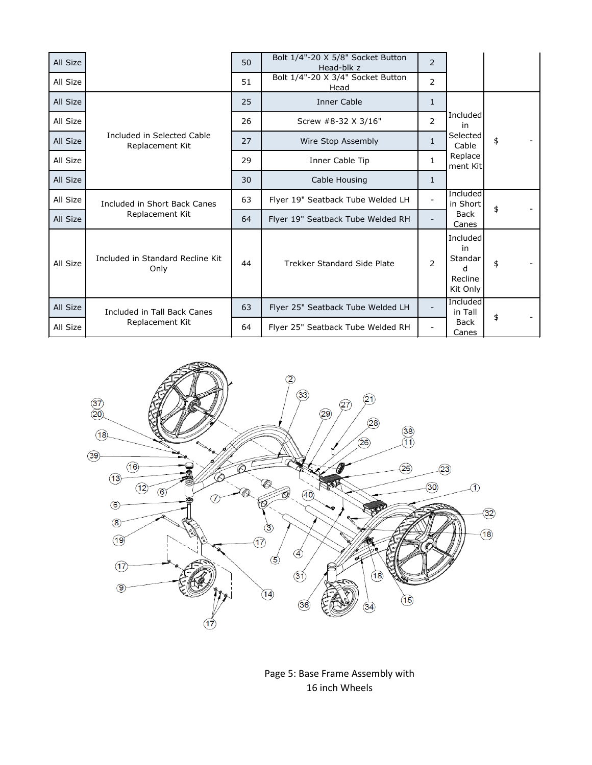| All Size |                                               | 50 | Bolt 1/4"-20 X 5/8" Socket Button<br>Head-blk z | $\overline{2}$ |                                                       |    |
|----------|-----------------------------------------------|----|-------------------------------------------------|----------------|-------------------------------------------------------|----|
| All Size |                                               | 51 | Bolt 1/4"-20 X 3/4" Socket Button<br>Head       | 2              |                                                       |    |
| All Size |                                               | 25 | <b>Inner Cable</b>                              | $\mathbf{1}$   |                                                       |    |
| All Size |                                               | 26 | Screw #8-32 X 3/16"                             | 2              | Included<br>in                                        |    |
| All Size | Included in Selected Cable<br>Replacement Kit | 27 | Wire Stop Assembly                              | $\mathbf{1}$   | Selected<br>Cable                                     | \$ |
| All Size |                                               | 29 | Inner Cable Tip                                 | $\mathbf{1}$   | Replace<br>ment Kit                                   |    |
| All Size |                                               | 30 | Cable Housing                                   | 1              |                                                       |    |
| All Size | Included in Short Back Canes                  | 63 | Flyer 19" Seatback Tube Welded LH               |                | Included<br>in Short                                  | \$ |
| All Size | Replacement Kit                               | 64 | Flyer 19" Seatback Tube Welded RH               |                | <b>Back</b><br>Canes                                  |    |
| All Size | Included in Standard Recline Kit<br>Only      | 44 | Trekker Standard Side Plate                     | $\overline{2}$ | Included<br>in<br>Standar<br>d<br>Recline<br>Kit Only | \$ |
| All Size | Included in Tall Back Canes                   | 63 | Flyer 25" Seatback Tube Welded LH               |                | Included<br>in Tall                                   |    |
| All Size | Replacement Kit                               | 64 | Flyer 25" Seatback Tube Welded RH               |                | <b>Back</b><br>Canes                                  | \$ |



Page 5: Base Frame Assembly with 16 inch Wheels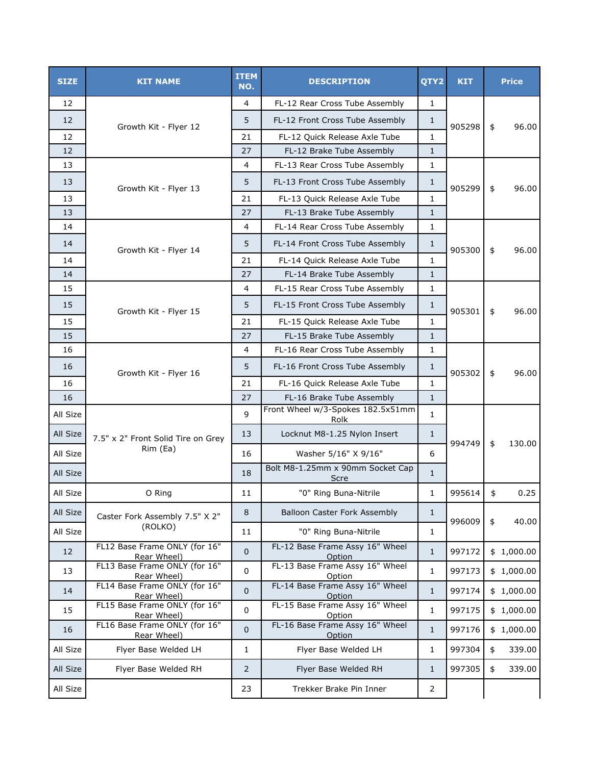| <b>SIZE</b> | <b>KIT NAME</b>                              | <b>ITEM</b><br>NO. | <b>DESCRIPTION</b>                        | QTY2           | <b>KIT</b> | <b>Price</b> |
|-------------|----------------------------------------------|--------------------|-------------------------------------------|----------------|------------|--------------|
| 12          |                                              | 4                  | FL-12 Rear Cross Tube Assembly            | 1              |            |              |
| 12          | Growth Kit - Flyer 12                        | 5                  | FL-12 Front Cross Tube Assembly           | $\mathbf{1}$   | 905298     | \$<br>96.00  |
| 12          |                                              | 21                 | FL-12 Quick Release Axle Tube             | $\mathbf{1}$   |            |              |
| 12          |                                              | 27                 | FL-12 Brake Tube Assembly                 | $\mathbf{1}$   |            |              |
| 13          |                                              | 4                  | FL-13 Rear Cross Tube Assembly            | 1              |            |              |
| 13          |                                              | 5                  | FL-13 Front Cross Tube Assembly           | $\mathbf{1}$   | 905299     | 96.00        |
| 13          | Growth Kit - Flyer 13                        | 21                 | FL-13 Quick Release Axle Tube             | $\mathbf{1}$   |            | \$           |
| 13          |                                              | 27                 | FL-13 Brake Tube Assembly                 | $\mathbf{1}$   |            |              |
| 14          |                                              | 4                  | FL-14 Rear Cross Tube Assembly            | $\mathbf{1}$   |            |              |
| 14          | Growth Kit - Flyer 14                        | 5                  | FL-14 Front Cross Tube Assembly           | $\mathbf{1}$   | 905300     | \$<br>96.00  |
| 14          |                                              | 21                 | FL-14 Quick Release Axle Tube             | 1              |            |              |
| 14          |                                              | 27                 | FL-14 Brake Tube Assembly                 | $\mathbf{1}$   |            |              |
| 15          |                                              | 4                  | FL-15 Rear Cross Tube Assembly            | 1              |            |              |
| 15          | Growth Kit - Flyer 15                        | 5                  | FL-15 Front Cross Tube Assembly           | $\mathbf{1}$   | 905301     | 96.00<br>\$  |
| 15          |                                              | 21                 | FL-15 Quick Release Axle Tube             | 1              |            |              |
| 15          |                                              | 27                 | FL-15 Brake Tube Assembly                 | $\mathbf{1}$   |            |              |
| 16          |                                              | 4                  | FL-16 Rear Cross Tube Assembly            | 1              |            |              |
| 16          | Growth Kit - Flyer 16                        | 5                  | FL-16 Front Cross Tube Assembly           | $\mathbf{1}$   | 905302     | \$<br>96.00  |
| 16          |                                              | 21                 | FL-16 Quick Release Axle Tube             | $\mathbf{1}$   |            |              |
| 16          |                                              | 27                 | FL-16 Brake Tube Assembly                 | $\mathbf{1}$   |            |              |
| All Size    |                                              | 9                  | Front Wheel w/3-Spokes 182.5x51mm<br>Rolk | 1              |            |              |
| All Size    | 7.5" x 2" Front Solid Tire on Grey           | 13                 | Locknut M8-1.25 Nylon Insert              | $\mathbf{1}$   |            |              |
| All Size    | Rim (Ea)                                     | 16                 | Washer 5/16" X 9/16"                      | 6              | 994749     | 130.00<br>\$ |
| All Size    |                                              | 18                 | Bolt M8-1.25mm x 90mm Socket Cap<br>Scre  | $\mathbf{1}$   |            |              |
| All Size    | O Ring                                       | 11                 | "0" Ring Buna-Nitrile                     | 1              | 995614     | \$<br>0.25   |
| All Size    | Caster Fork Assembly 7.5" X 2"               | 8                  | Balloon Caster Fork Assembly              | $\mathbf{1}$   |            |              |
| All Size    | (ROLKO)                                      | 11                 | "0" Ring Buna-Nitrile                     | $\mathbf{1}$   | 996009     | \$<br>40.00  |
| 12          | FL12 Base Frame ONLY (for 16"<br>Rear Wheel) | 0                  | FL-12 Base Frame Assy 16" Wheel<br>Option | $\mathbf{1}$   | 997172     | \$1,000.00   |
| 13          | FL13 Base Frame ONLY (for 16"<br>Rear Wheel) | $\mathbf 0$        | FL-13 Base Frame Assy 16" Wheel<br>Option | $\mathbf 1$    | 997173     | \$1,000.00   |
| 14          | FL14 Base Frame ONLY (for 16"<br>Rear Wheel) | $\overline{0}$     | FL-14 Base Frame Assy 16" Wheel<br>Option | $\mathbf{1}$   | 997174     | \$1,000.00   |
| 15          | FL15 Base Frame ONLY (for 16"                | $\pmb{0}$          | FL-15 Base Frame Assy 16" Wheel           | $\mathbf{1}$   | 997175     | \$1,000.00   |
| 16          | Rear Wheel)<br>FL16 Base Frame ONLY (for 16" | 0                  | Option<br>FL-16 Base Frame Assy 16" Wheel | $\mathbf{1}$   | 997176     | \$1,000.00   |
| All Size    | Rear Wheel)<br>Flyer Base Welded LH          | $\mathbf{1}$       | Option<br>Flyer Base Welded LH            | $\mathbf 1$    | 997304     | 339.00<br>\$ |
| All Size    | Flyer Base Welded RH                         | $\overline{2}$     | Flyer Base Welded RH                      | $\mathbf{1}$   | 997305     | 339.00<br>\$ |
| All Size    |                                              | 23                 | Trekker Brake Pin Inner                   | $\overline{2}$ |            |              |
|             |                                              |                    |                                           |                |            |              |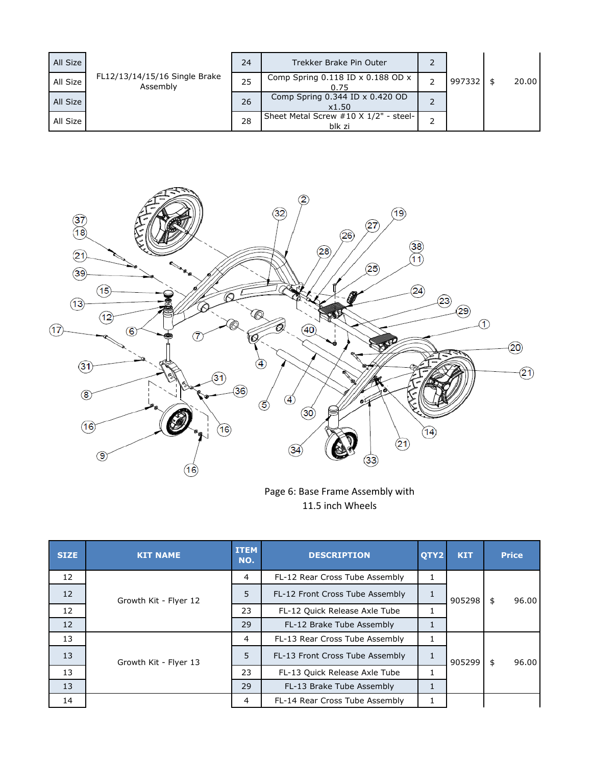| All Size |                                           | 24 | Trekker Brake Pin Outer                         |        |       |
|----------|-------------------------------------------|----|-------------------------------------------------|--------|-------|
| All Size | FL12/13/14/15/16 Single Brake<br>Assembly | 25 | Comp Spring $0.118$ ID x $0.188$ OD x<br>0.75   | 997332 | 20.00 |
| All Size |                                           | 26 | Comp Spring 0.344 ID x 0.420 OD<br>x1.50        |        |       |
| All Size |                                           | 28 | Sheet Metal Screw #10 X 1/2" - steel-<br>blk zi |        |       |



Page 6: Base Frame Assembly with 11.5 inch Wheels

| <b>SIZE</b> | <b>KIT NAME</b>       | <b>ITEM</b><br>NO. | <b>DESCRIPTION</b>              | OTY2 | <b>KIT</b> | <b>Price</b> |
|-------------|-----------------------|--------------------|---------------------------------|------|------------|--------------|
| 12          |                       | 4                  | FL-12 Rear Cross Tube Assembly  | T    |            |              |
| 12          | Growth Kit - Flyer 12 | 5                  | FL-12 Front Cross Tube Assembly |      | 905298     | 96.00<br>\$  |
| 12          |                       | 23                 | FL-12 Quick Release Axle Tube   |      |            |              |
| 12          |                       | 29                 | FL-12 Brake Tube Assembly       |      |            |              |
| 13          |                       | 4                  | FL-13 Rear Cross Tube Assembly  | 1    |            |              |
| 13          | Growth Kit - Flyer 13 | 5                  | FL-13 Front Cross Tube Assembly |      | 905299     | 96.00<br>\$  |
| 13          |                       | 23                 | FL-13 Quick Release Axle Tube   | 1    |            |              |
| 13          |                       | 29                 | FL-13 Brake Tube Assembly       |      |            |              |
| 14          |                       | 4                  | FL-14 Rear Cross Tube Assembly  |      |            |              |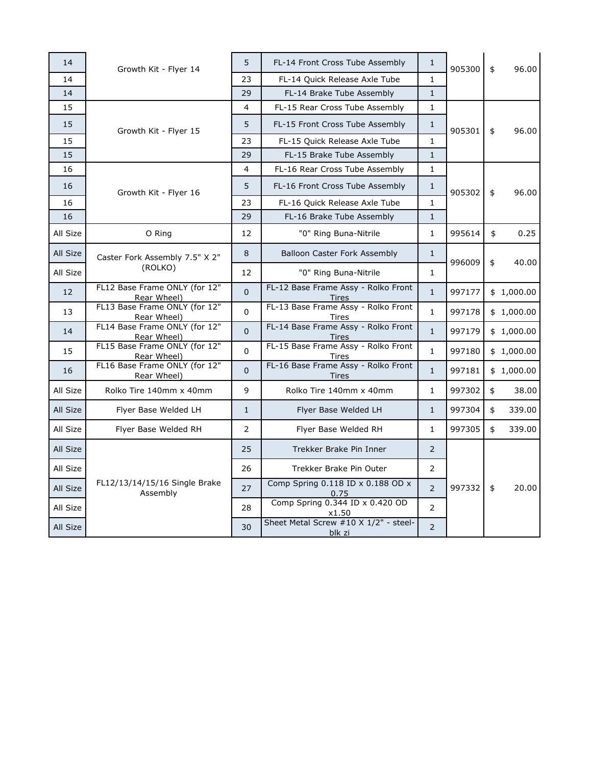| 14       | Growth Kit - Flyer 14                        | 5              | FL-14 Front Cross Tube Assembly                     | $\mathbf{1}$   | 905300 | \$<br>96.00  |
|----------|----------------------------------------------|----------------|-----------------------------------------------------|----------------|--------|--------------|
| 14       |                                              | 23             | FL-14 Quick Release Axle Tube                       | $\mathbf{1}$   |        |              |
| 14       |                                              | 29             | FL-14 Brake Tube Assembly                           | $\mathbf{1}$   |        |              |
| 15       |                                              | $\overline{4}$ | FL-15 Rear Cross Tube Assembly                      | $\mathbf{1}$   |        |              |
| 15       | Growth Kit - Flyer 15                        | 5              | FL-15 Front Cross Tube Assembly                     | $\mathbf{1}$   | 905301 | \$<br>96.00  |
| 15       |                                              | 23             | FL-15 Quick Release Axle Tube                       | $\mathbf{1}$   |        |              |
| 15       |                                              | 29             | FL-15 Brake Tube Assembly                           | $\mathbf{1}$   |        |              |
| 16       |                                              | 4              | FL-16 Rear Cross Tube Assembly                      | $\mathbf{1}$   |        |              |
| 16       | Growth Kit - Flyer 16                        | 5              | FL-16 Front Cross Tube Assembly                     | $\mathbf{1}$   | 905302 | \$<br>96.00  |
| 16       |                                              | 23             | FL-16 Quick Release Axle Tube                       | $\mathbf{1}$   |        |              |
| 16       |                                              | 29             | FL-16 Brake Tube Assembly                           | $\mathbf{1}$   |        |              |
| All Size | O Ring                                       | 12             | "0" Ring Buna-Nitrile                               | $\mathbf{1}$   | 995614 | \$<br>0.25   |
| All Size | Caster Fork Assembly 7.5" X 2"               | 8              | <b>Balloon Caster Fork Assembly</b>                 | $\mathbf{1}$   | 996009 | \$<br>40.00  |
| All Size | (ROLKO)                                      | 12             | "0" Ring Buna-Nitrile                               | $\mathbf{1}$   |        |              |
| 12       | FL12 Base Frame ONLY (for 12"<br>Rear Wheel) | $\Omega$       | FL-12 Base Frame Assy - Rolko Front<br><b>Tires</b> | $\mathbf{1}$   | 997177 | \$1,000.00   |
| 13       | FL13 Base Frame ONLY (for 12"<br>Rear Wheel) | $\overline{0}$ | FL-13 Base Frame Assy - Rolko Front<br>Tires        | $\mathbf{1}$   | 997178 | \$1,000.00   |
| 14       | FL14 Base Frame ONLY (for 12"<br>Rear Wheel) | $\mathbf 0$    | FL-14 Base Frame Assy - Rolko Front<br>Tires        | $\mathbf{1}$   | 997179 | \$1,000.00   |
| 15       | FL15 Base Frame ONLY (for 12"<br>Rear Wheel) | $\Omega$       | FL-15 Base Frame Assy - Rolko Front<br><u>Tires</u> | $\mathbf{1}$   | 997180 | \$1,000.00   |
| 16       | FL16 Base Frame ONLY (for 12"<br>Rear Wheel) | $\Omega$       | FL-16 Base Frame Assy - Rolko Front<br><b>Tires</b> | $\mathbf{1}$   | 997181 | \$1,000.00   |
| All Size | Rolko Tire 140mm x 40mm                      | 9              | Rolko Tire 140mm x 40mm                             | $\mathbf{1}$   | 997302 | \$<br>38.00  |
| All Size | Flyer Base Welded LH                         | $\mathbf{1}$   | Flyer Base Welded LH                                | $\mathbf{1}$   | 997304 | \$<br>339.00 |
| All Size | Flyer Base Welded RH                         | $\mathcal{P}$  | Flyer Base Welded RH                                | $\mathbf{1}$   | 997305 | \$<br>339.00 |
| All Size |                                              | 25             | Trekker Brake Pin Inner                             | $\overline{2}$ |        |              |
| All Size |                                              | 26             | Trekker Brake Pin Outer                             | $\overline{2}$ |        |              |
| All Size | FL12/13/14/15/16 Single Brake<br>Assembly    | 27             | Comp Spring 0.118 ID x 0.188 OD x<br>0.75           | $\overline{2}$ | 997332 | \$<br>20.00  |
| All Size |                                              | 28             | Comp Spring 0.344 ID x 0.420 OD<br>x1.50            | $\overline{2}$ |        |              |
| All Size |                                              | 30             | Sheet Metal Screw #10 X 1/2" - steel-<br>blk zi     | $\overline{2}$ |        |              |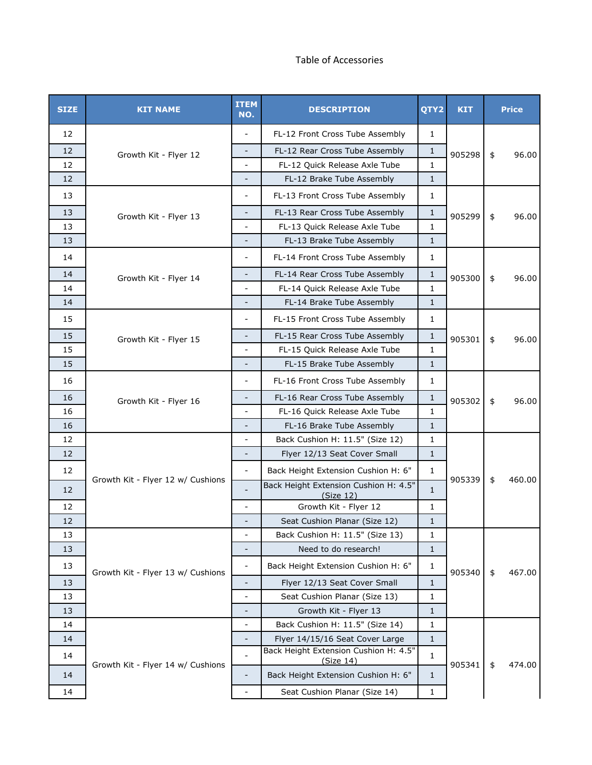## Table of Accessories

| <b>SIZE</b> | <b>KIT NAME</b>                   | <b>ITEM</b><br>NO.       | <b>DESCRIPTION</b>                                 | QTY2         | <b>KIT</b> |    | <b>Price</b> |
|-------------|-----------------------------------|--------------------------|----------------------------------------------------|--------------|------------|----|--------------|
| 12          |                                   |                          | FL-12 Front Cross Tube Assembly                    | $\mathbf{1}$ |            |    |              |
| 12          | Growth Kit - Flyer 12             |                          | FL-12 Rear Cross Tube Assembly                     | $\mathbf{1}$ | 905298     | \$ | 96.00        |
| 12          |                                   | $\overline{\phantom{0}}$ | FL-12 Quick Release Axle Tube                      | $\mathbf{1}$ |            |    |              |
| 12          |                                   |                          | FL-12 Brake Tube Assembly                          | $\mathbf{1}$ |            |    |              |
| 13          |                                   | $\overline{\phantom{0}}$ | FL-13 Front Cross Tube Assembly                    | $\mathbf{1}$ |            |    |              |
| 13          | Growth Kit - Flyer 13             | $\overline{a}$           | FL-13 Rear Cross Tube Assembly                     | $\mathbf{1}$ | 905299     | \$ | 96.00        |
| 13          |                                   | L.                       | FL-13 Quick Release Axle Tube                      | $\mathbf{1}$ |            |    |              |
| 13          |                                   | $\overline{\phantom{0}}$ | FL-13 Brake Tube Assembly                          | $\mathbf{1}$ |            |    |              |
| 14          |                                   | $\overline{\phantom{0}}$ | FL-14 Front Cross Tube Assembly                    | 1            |            |    |              |
| 14          | Growth Kit - Flyer 14             | $\overline{\phantom{0}}$ | FL-14 Rear Cross Tube Assembly                     | $\mathbf{1}$ | 905300     | \$ | 96.00        |
| 14          |                                   |                          | FL-14 Quick Release Axle Tube                      | $\mathbf{1}$ |            |    |              |
| 14          |                                   | $\overline{\phantom{0}}$ | FL-14 Brake Tube Assembly                          | $\mathbf{1}$ |            |    |              |
| 15          |                                   | ÷                        | FL-15 Front Cross Tube Assembly                    | 1            |            |    |              |
| 15          | Growth Kit - Flyer 15             | $\overline{\phantom{0}}$ | FL-15 Rear Cross Tube Assembly                     | $\mathbf{1}$ | 905301     | \$ | 96.00        |
| 15          |                                   | $\overline{\phantom{0}}$ | FL-15 Quick Release Axle Tube                      | $\mathbf{1}$ |            |    |              |
| 15          |                                   |                          | FL-15 Brake Tube Assembly                          | $\mathbf{1}$ |            |    |              |
| 16          |                                   | $\overline{\phantom{0}}$ | FL-16 Front Cross Tube Assembly                    | $\mathbf{1}$ |            |    |              |
| 16          | Growth Kit - Flyer 16             | $\overline{\phantom{0}}$ | FL-16 Rear Cross Tube Assembly                     | $\mathbf{1}$ | 905302     | \$ | 96.00        |
| 16          |                                   |                          | FL-16 Quick Release Axle Tube                      | $\mathbf{1}$ |            |    |              |
| 16          |                                   | $\overline{\phantom{a}}$ | FL-16 Brake Tube Assembly                          | $\mathbf{1}$ |            |    |              |
| 12          |                                   |                          | Back Cushion H: 11.5" (Size 12)                    | $\mathbf{1}$ |            |    |              |
| 12          |                                   | $\overline{\phantom{a}}$ | Flyer 12/13 Seat Cover Small                       | $\mathbf{1}$ |            |    |              |
| 12          |                                   | $\overline{\phantom{0}}$ | Back Height Extension Cushion H: 6"                | $\mathbf{1}$ |            |    |              |
| 12          | Growth Kit - Flyer 12 w/ Cushions |                          | Back Height Extension Cushion H: 4.5"<br>(Size 12) | $\mathbf{1}$ | 905339     | \$ | 460.00       |
| 12          |                                   | $\frac{1}{2}$            | Growth Kit - Flyer 12                              | 1            |            |    |              |
| 12          |                                   |                          | Seat Cushion Planar (Size 12)                      | $\mathbf{1}$ |            |    |              |
| 13          |                                   | $\overline{\phantom{0}}$ | Back Cushion H: 11.5" (Size 13)                    | 1            |            |    |              |
| 13          |                                   | -                        | Need to do research!                               | $\mathbf{1}$ |            |    |              |
| 13          | Growth Kit - Flyer 13 w/ Cushions | $\frac{1}{2}$            | Back Height Extension Cushion H: 6"                | 1            | 905340     | \$ | 467.00       |
| 13          |                                   | $\overline{\phantom{0}}$ | Flyer 12/13 Seat Cover Small                       | $1\,$        |            |    |              |
| 13          |                                   | -                        | Seat Cushion Planar (Size 13)                      | 1            |            |    |              |
| 13          |                                   | $\overline{\phantom{0}}$ | Growth Kit - Flyer 13                              | $\mathbf{1}$ |            |    |              |
| 14          |                                   | $\overline{\phantom{0}}$ | Back Cushion H: 11.5" (Size 14)                    | $\mathbf{1}$ |            |    |              |
| 14          |                                   | $\overline{\phantom{0}}$ | Flyer 14/15/16 Seat Cover Large                    | $\mathbf{1}$ |            |    |              |
| 14          |                                   |                          | Back Height Extension Cushion H: 4.5"<br>(Size 14) | 1            | 905341     | \$ | 474.00       |
| 14          | Growth Kit - Flyer 14 w/ Cushions | $\overline{\phantom{0}}$ | Back Height Extension Cushion H: 6"                | $\mathbf{1}$ |            |    |              |
| 14          |                                   | $\overline{\phantom{0}}$ | Seat Cushion Planar (Size 14)                      | 1            |            |    |              |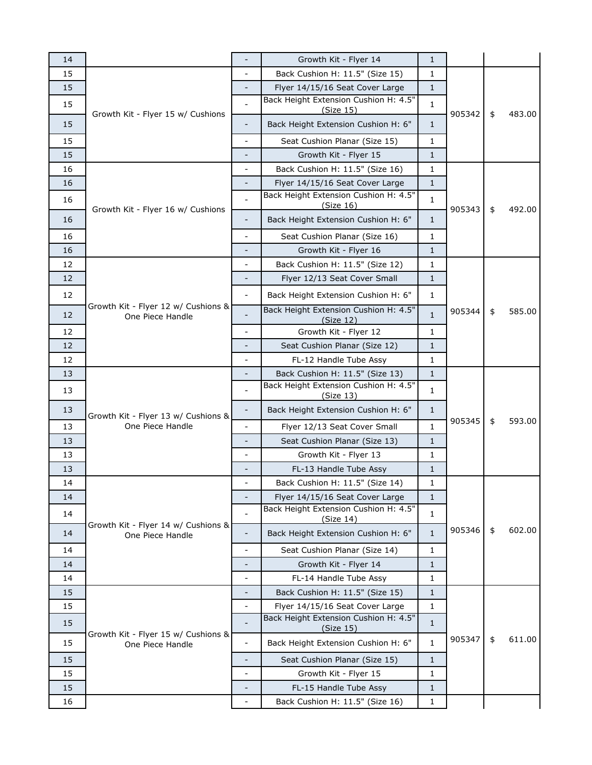| 14 |                                                         | $\overline{\phantom{a}}$     | Growth Kit - Flyer 14                              | 1            |        |              |
|----|---------------------------------------------------------|------------------------------|----------------------------------------------------|--------------|--------|--------------|
| 15 | Growth Kit - Flyer 15 w/ Cushions                       |                              | Back Cushion H: 11.5" (Size 15)                    | 1            |        |              |
| 15 |                                                         |                              | Flyer 14/15/16 Seat Cover Large                    | $\mathbf{1}$ |        |              |
| 15 |                                                         | $\blacksquare$               | Back Height Extension Cushion H: 4.5"<br>(Size 15) | $\mathbf{1}$ | 905342 | 483.00       |
| 15 |                                                         | -                            | Back Height Extension Cushion H: 6"                | $\mathbf{1}$ |        | \$           |
| 15 |                                                         | $\overline{a}$               | Seat Cushion Planar (Size 15)                      | 1            |        |              |
| 15 |                                                         |                              | Growth Kit - Flyer 15                              | $\mathbf{1}$ |        |              |
| 16 |                                                         | $\overline{\phantom{0}}$     | Back Cushion H: 11.5" (Size 16)                    | 1            |        |              |
| 16 |                                                         | $\overline{\phantom{a}}$     | Flyer 14/15/16 Seat Cover Large                    | $\mathbf{1}$ |        |              |
| 16 |                                                         |                              | Back Height Extension Cushion H: 4.5"              | $\mathbf{1}$ |        | \$<br>492.00 |
|    | Growth Kit - Flyer 16 w/ Cushions                       |                              | (Size 16)                                          |              | 905343 |              |
| 16 |                                                         | $\overline{\phantom{a}}$     | Back Height Extension Cushion H: 6"                | $\mathbf{1}$ |        |              |
| 16 |                                                         | $\overline{\phantom{0}}$     | Seat Cushion Planar (Size 16)                      | 1            |        |              |
| 16 |                                                         |                              | Growth Kit - Flyer 16                              | $\mathbf{1}$ |        |              |
| 12 |                                                         | $\overline{\phantom{a}}$     | Back Cushion H: 11.5" (Size 12)                    | 1            |        |              |
| 12 |                                                         |                              | Flyer 12/13 Seat Cover Small                       | $\mathbf{1}$ |        |              |
| 12 |                                                         | $\overline{\phantom{a}}$     | Back Height Extension Cushion H: 6"                | $\mathbf{1}$ | 905344 | \$<br>585.00 |
| 12 | Growth Kit - Flyer 12 w/ Cushions &<br>One Piece Handle |                              | Back Height Extension Cushion H: 4.5"<br>(Size 12) | $\mathbf{1}$ |        |              |
| 12 |                                                         |                              | Growth Kit - Flyer 12                              | 1            |        |              |
| 12 |                                                         | $\overline{\phantom{a}}$     | Seat Cushion Planar (Size 12)                      | $\mathbf{1}$ |        |              |
| 12 |                                                         |                              | FL-12 Handle Tube Assy                             | 1            |        |              |
| 13 |                                                         | $\overline{\phantom{a}}$     | Back Cushion H: 11.5" (Size 13)                    | $\mathbf{1}$ | 905345 | \$<br>593.00 |
| 13 |                                                         |                              | Back Height Extension Cushion H: 4.5"<br>(Size 13) | 1            |        |              |
| 13 | Growth Kit - Flyer 13 w/ Cushions &                     |                              | Back Height Extension Cushion H: 6"                | 1            |        |              |
| 13 | One Piece Handle                                        | $\frac{1}{2}$                | Flyer 12/13 Seat Cover Small                       | 1            |        |              |
| 13 |                                                         |                              | Seat Cushion Planar (Size 13)                      | $\mathbf{1}$ |        |              |
| 13 |                                                         | $\overline{\phantom{a}}$     | Growth Kit - Flyer 13                              | 1            |        |              |
| 13 |                                                         |                              | FL-13 Handle Tube Assy                             | $\mathbf{1}$ |        |              |
| 14 |                                                         |                              | Back Cushion H: 11.5" (Size 14)                    | 1            |        |              |
| 14 |                                                         |                              | Flyer 14/15/16 Seat Cover Large                    | $\mathbf{1}$ |        |              |
| 14 |                                                         |                              | Back Height Extension Cushion H: 4.5"<br>(Size 14) | 1            |        |              |
| 14 | Growth Kit - Flyer 14 w/ Cushions &<br>One Piece Handle |                              | Back Height Extension Cushion H: 6"                | $\mathbf{1}$ | 905346 | \$<br>602.00 |
| 14 |                                                         |                              | Seat Cushion Planar (Size 14)                      | $\mathbf{1}$ |        |              |
| 14 |                                                         | -                            | Growth Kit - Flyer 14                              | 1            |        |              |
| 14 |                                                         | $\overline{a}$               | FL-14 Handle Tube Assy                             | 1            |        |              |
| 15 |                                                         |                              | Back Cushion H: 11.5" (Size 15)                    | 1            |        |              |
| 15 |                                                         | $\blacksquare$               | Flyer 14/15/16 Seat Cover Large                    | $\mathbf{1}$ |        | \$<br>611.00 |
| 15 |                                                         |                              | Back Height Extension Cushion H: 4.5"<br>(Size 15) | $\mathbf{1}$ |        |              |
| 15 | Growth Kit - Flyer 15 w/ Cushions &<br>One Piece Handle | $\overline{\phantom{0}}$     | Back Height Extension Cushion H: 6"                | 1            | 905347 |              |
| 15 |                                                         |                              | Seat Cushion Planar (Size 15)                      | $\mathbf{1}$ |        |              |
| 15 |                                                         | $\qquad \qquad \blacksquare$ | Growth Kit - Flyer 15                              | 1            |        |              |
| 15 |                                                         | $\overline{\phantom{0}}$     | FL-15 Handle Tube Assy                             | $\mathbf{1}$ |        |              |
| 16 |                                                         |                              | Back Cushion H: 11.5" (Size 16)                    | 1            |        |              |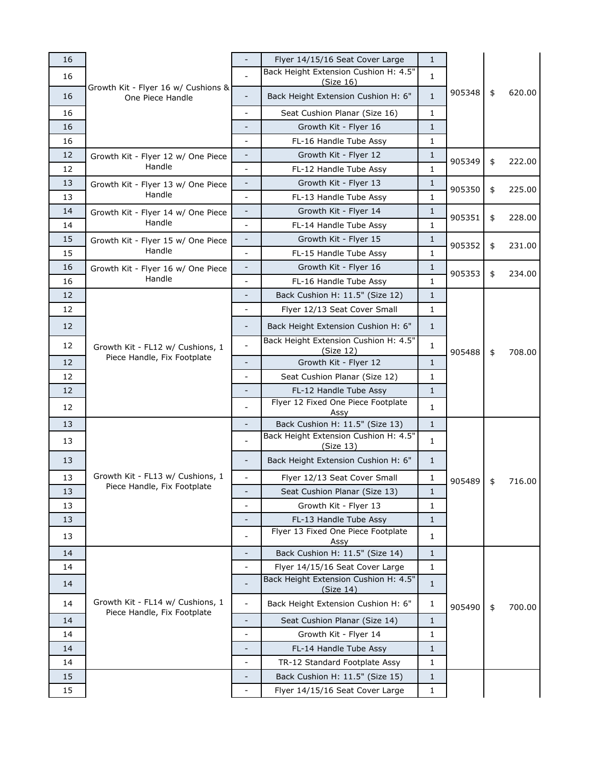| 16 |                                                                 |                              | Flyer 14/15/16 Seat Cover Large                    | $\mathbf{1}$ |        |              |
|----|-----------------------------------------------------------------|------------------------------|----------------------------------------------------|--------------|--------|--------------|
| 16 | Growth Kit - Flyer 16 w/ Cushions &<br>One Piece Handle         |                              | Back Height Extension Cushion H: 4.5"<br>(Size 16) | 1            |        |              |
| 16 |                                                                 | $\frac{1}{2}$                | Back Height Extension Cushion H: 6"                | $\mathbf{1}$ | 905348 | \$<br>620.00 |
| 16 |                                                                 | $\overline{\phantom{0}}$     | Seat Cushion Planar (Size 16)                      | 1            |        |              |
| 16 |                                                                 | -                            | Growth Kit - Flyer 16                              | $\mathbf{1}$ |        |              |
| 16 |                                                                 | $\overline{\phantom{a}}$     | FL-16 Handle Tube Assy                             | 1            |        |              |
| 12 | Growth Kit - Flyer 12 w/ One Piece                              |                              | Growth Kit - Flyer 12                              | $\mathbf{1}$ |        |              |
| 12 | Handle                                                          | $\qquad \qquad \blacksquare$ | FL-12 Handle Tube Assy                             | 1            | 905349 | \$<br>222.00 |
| 13 | Growth Kit - Flyer 13 w/ One Piece                              | $\overline{\phantom{a}}$     | Growth Kit - Flyer 13                              | $\mathbf{1}$ |        |              |
| 13 | Handle                                                          | $\overline{\phantom{0}}$     | FL-13 Handle Tube Assy                             | 1            | 905350 | \$<br>225.00 |
| 14 | Growth Kit - Flyer 14 w/ One Piece                              | $\overline{\phantom{a}}$     | Growth Kit - Flyer 14                              | $\mathbf{1}$ | 905351 |              |
| 14 | Handle                                                          | $\sim$                       | FL-14 Handle Tube Assy                             | 1            |        | \$<br>228.00 |
| 15 | Growth Kit - Flyer 15 w/ One Piece                              | $\overline{\phantom{a}}$     | Growth Kit - Flyer 15                              | $\mathbf{1}$ | 905352 | \$<br>231.00 |
| 15 | Handle                                                          |                              | FL-15 Handle Tube Assy                             | 1            |        |              |
| 16 | Growth Kit - Flyer 16 w/ One Piece                              | $\qquad \qquad \blacksquare$ | Growth Kit - Flyer 16                              | 1            |        | \$<br>234.00 |
| 16 | Handle                                                          | $\overline{\phantom{0}}$     | FL-16 Handle Tube Assy                             | 1            | 905353 |              |
| 12 |                                                                 | $\overline{\phantom{a}}$     | Back Cushion H: 11.5" (Size 12)                    | $\mathbf{1}$ |        |              |
| 12 |                                                                 | $\overline{\phantom{0}}$     | Flyer 12/13 Seat Cover Small                       | 1            |        | \$<br>708.00 |
| 12 |                                                                 | $\overline{\phantom{a}}$     | Back Height Extension Cushion H: 6"                | $\mathbf{1}$ | 905488 |              |
| 12 | Growth Kit - FL12 w/ Cushions, 1                                | $\overline{a}$               | Back Height Extension Cushion H: 4.5"              | 1            |        |              |
| 12 | Piece Handle, Fix Footplate                                     | $\overline{a}$               | (Size 12)<br>Growth Kit - Flyer 12                 | $\mathbf{1}$ |        |              |
| 12 |                                                                 | $\overline{\phantom{0}}$     | Seat Cushion Planar (Size 12)                      | 1            |        |              |
| 12 |                                                                 | $\overline{\phantom{a}}$     | FL-12 Handle Tube Assy                             | $\mathbf{1}$ |        |              |
| 12 |                                                                 |                              | Flyer 12 Fixed One Piece Footplate<br>Assy         | $\mathbf{1}$ |        |              |
| 13 |                                                                 | $\overline{\phantom{a}}$     | Back Cushion H: 11.5" (Size 13)                    | $\mathbf{1}$ |        |              |
| 13 |                                                                 |                              | Back Height Extension Cushion H: 4.5"<br>(Size 13) | 1            |        |              |
| 13 |                                                                 | $\overline{\phantom{a}}$     | Back Height Extension Cushion H: 6"                | 1            |        |              |
| 13 | Growth Kit - FL13 w/ Cushions, 1                                | $\overline{\phantom{0}}$     | Flyer 12/13 Seat Cover Small                       | 1            | 905489 | \$<br>716.00 |
| 13 | Piece Handle, Fix Footplate                                     |                              | Seat Cushion Planar (Size 13)                      | 1            |        |              |
| 13 |                                                                 | $\overline{\phantom{0}}$     | Growth Kit - Flyer 13                              | 1            |        |              |
| 13 |                                                                 |                              | FL-13 Handle Tube Assy                             | $\mathbf{1}$ |        |              |
| 13 |                                                                 | $\blacksquare$               | Flyer 13 Fixed One Piece Footplate<br>Assy         | 1            |        |              |
| 14 |                                                                 | $\overline{\phantom{a}}$     | Back Cushion H: 11.5" (Size 14)                    | $\mathbf{1}$ |        |              |
| 14 |                                                                 | $\qquad \qquad \blacksquare$ | Flyer 14/15/16 Seat Cover Large                    | 1            |        |              |
| 14 |                                                                 |                              | Back Height Extension Cushion H: 4.5"<br>(Size 14) | $\mathbf{1}$ |        |              |
| 14 | Growth Kit - FL14 w/ Cushions, 1<br>Piece Handle, Fix Footplate | $\overline{\phantom{0}}$     | Back Height Extension Cushion H: 6"                | 1            | 905490 | \$<br>700.00 |
| 14 |                                                                 |                              | Seat Cushion Planar (Size 14)                      | $\mathbf{1}$ |        |              |
| 14 |                                                                 | $\overline{\phantom{0}}$     | Growth Kit - Flyer 14                              | 1            |        |              |
| 14 |                                                                 |                              | FL-14 Handle Tube Assy                             | $\mathbf{1}$ |        |              |
| 14 |                                                                 | $\overline{\phantom{a}}$     | TR-12 Standard Footplate Assy                      | 1            |        |              |
| 15 |                                                                 |                              | Back Cushion H: 11.5" (Size 15)                    | $\mathbf{1}$ |        |              |
| 15 |                                                                 |                              | Flyer 14/15/16 Seat Cover Large                    | 1            |        |              |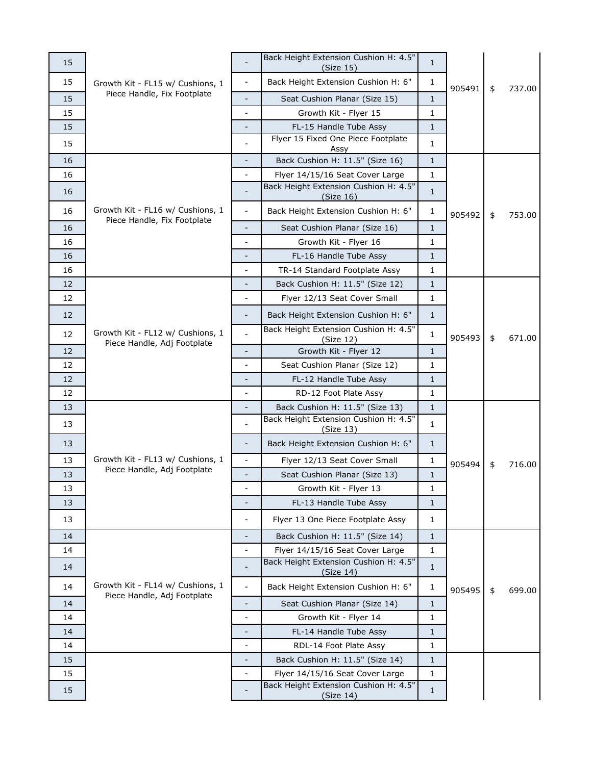| 15 |                                                                 |                          | Back Height Extension Cushion H: 4.5"<br>(Size 15) | $\mathbf{1}$ |        |    |        |
|----|-----------------------------------------------------------------|--------------------------|----------------------------------------------------|--------------|--------|----|--------|
| 15 | Growth Kit - FL15 w/ Cushions, 1<br>Piece Handle, Fix Footplate | $\overline{\phantom{a}}$ | Back Height Extension Cushion H: 6"                | 1            |        |    |        |
| 15 |                                                                 |                          | Seat Cushion Planar (Size 15)                      | $\mathbf{1}$ | 905491 | \$ | 737.00 |
| 15 |                                                                 | $\overline{a}$           | Growth Kit - Flyer 15                              | $\mathbf 1$  |        |    |        |
| 15 |                                                                 |                          | FL-15 Handle Tube Assy                             | $\mathbf{1}$ |        |    |        |
| 15 |                                                                 |                          | Flyer 15 Fixed One Piece Footplate                 | 1            |        |    |        |
| 16 |                                                                 |                          | Assy<br>Back Cushion H: 11.5" (Size 16)            | $\mathbf{1}$ |        |    |        |
| 16 |                                                                 | $\overline{\phantom{0}}$ | Flyer 14/15/16 Seat Cover Large                    | 1            |        |    |        |
| 16 |                                                                 |                          | Back Height Extension Cushion H: 4.5"<br>(Size 16) | 1            |        | \$ | 753.00 |
| 16 | Growth Kit - FL16 w/ Cushions, 1                                | $\frac{1}{2}$            | Back Height Extension Cushion H: 6"                | 1            | 905492 |    |        |
| 16 | Piece Handle, Fix Footplate                                     | $\overline{\phantom{a}}$ | Seat Cushion Planar (Size 16)                      | $\mathbf{1}$ |        |    |        |
| 16 |                                                                 |                          | Growth Kit - Flyer 16                              | $\mathbf{1}$ |        |    |        |
| 16 |                                                                 | -                        | FL-16 Handle Tube Assy                             | 1            |        |    |        |
| 16 |                                                                 | $\blacksquare$           | TR-14 Standard Footplate Assy                      | 1            |        |    |        |
| 12 |                                                                 |                          | Back Cushion H: 11.5" (Size 12)                    | 1            |        |    |        |
| 12 |                                                                 | $\overline{\phantom{0}}$ | Flyer 12/13 Seat Cover Small                       | 1            |        |    |        |
| 12 |                                                                 | $\overline{\phantom{a}}$ | Back Height Extension Cushion H: 6"                | $\mathbf{1}$ | 905493 |    |        |
| 12 | Growth Kit - FL12 w/ Cushions, 1<br>Piece Handle, Adj Footplate |                          | Back Height Extension Cushion H: 4.5"<br>(Size 12) | 1            |        | \$ | 671.00 |
| 12 |                                                                 |                          | Growth Kit - Flyer 12                              | $\mathbf{1}$ |        |    |        |
| 12 |                                                                 | $\overline{\phantom{a}}$ | Seat Cushion Planar (Size 12)                      | 1            |        |    |        |
| 12 |                                                                 | $\overline{\phantom{0}}$ | FL-12 Handle Tube Assy                             | $\mathbf{1}$ |        |    |        |
| 12 |                                                                 | $\sim$                   | RD-12 Foot Plate Assy                              | 1            |        |    |        |
| 13 |                                                                 | $\overline{\phantom{a}}$ | Back Cushion H: 11.5" (Size 13)                    | $\mathbf{1}$ |        |    |        |
| 13 |                                                                 |                          | Back Height Extension Cushion H: 4.5"<br>(Size 13) | 1            |        |    |        |
| 13 |                                                                 | $\overline{\phantom{a}}$ | Back Height Extension Cushion H: 6"                | 1            |        |    |        |
| 13 | Growth Kit - FL13 w/ Cushions, 1                                | $\overline{\phantom{a}}$ | Flyer 12/13 Seat Cover Small                       | 1            | 905494 | \$ | 716.00 |
| 13 | Piece Handle, Adj Footplate                                     | $\overline{\phantom{0}}$ | Seat Cushion Planar (Size 13)                      | $\mathbf{1}$ |        |    |        |
| 13 |                                                                 |                          | Growth Kit - Flyer 13                              | 1            |        |    |        |
| 13 |                                                                 |                          | FL-13 Handle Tube Assy                             | $\mathbf{1}$ |        |    |        |
| 13 |                                                                 | $\overline{\phantom{a}}$ | Flyer 13 One Piece Footplate Assy                  | 1            |        |    |        |
| 14 |                                                                 |                          | Back Cushion H: 11.5" (Size 14)                    | $\mathbf{1}$ |        |    |        |
| 14 |                                                                 |                          | Flyer 14/15/16 Seat Cover Large                    | $\mathbf{1}$ |        |    |        |
| 14 | Growth Kit - FL14 w/ Cushions, 1                                |                          | Back Height Extension Cushion H: 4.5"<br>(Size 14) | $\mathbf{1}$ |        |    |        |
| 14 |                                                                 | $\blacksquare$           | Back Height Extension Cushion H: 6"                | 1            | 905495 | \$ | 699.00 |
| 14 | Piece Handle, Adj Footplate                                     | $\overline{\phantom{0}}$ | Seat Cushion Planar (Size 14)                      | $\mathbf{1}$ |        |    |        |
| 14 |                                                                 | $\overline{\phantom{0}}$ | Growth Kit - Flyer 14                              | 1            |        |    |        |
| 14 |                                                                 |                          | FL-14 Handle Tube Assy                             | $\mathbf{1}$ |        |    |        |
| 14 |                                                                 | $\overline{\phantom{a}}$ | RDL-14 Foot Plate Assy                             | 1            |        |    |        |
| 15 |                                                                 |                          | Back Cushion H: 11.5" (Size 14)                    | 1            |        |    |        |
| 15 |                                                                 | $\blacksquare$           | Flyer 14/15/16 Seat Cover Large                    | $\mathbf{1}$ |        |    |        |
| 15 |                                                                 |                          | Back Height Extension Cushion H: 4.5"<br>(Size 14) | $\mathbf{1}$ |        |    |        |